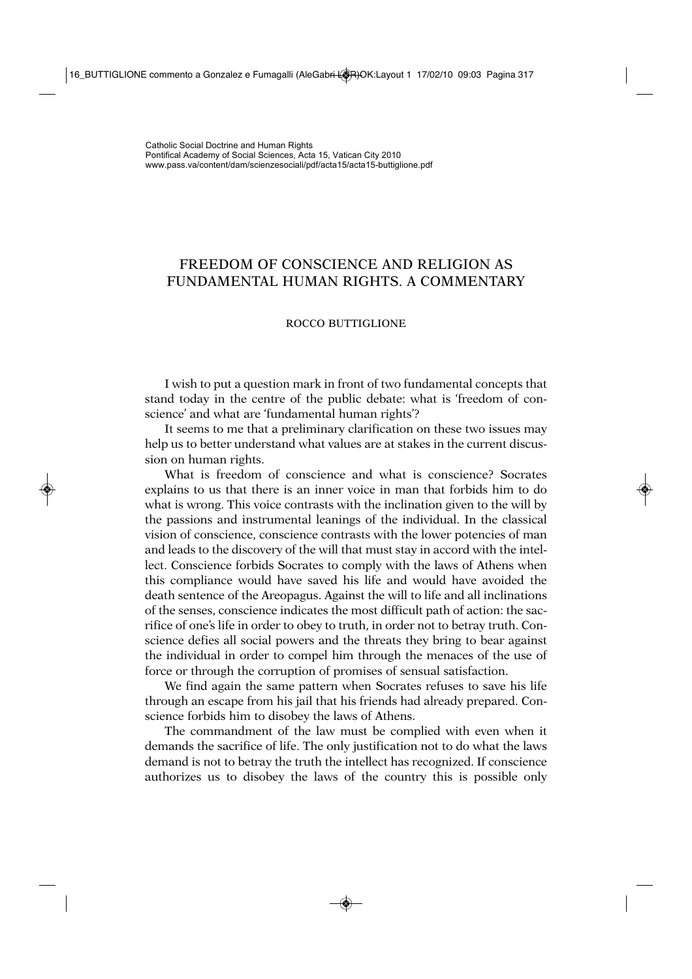## FREEDOM OF CONSCIENCE AND RELIGION AS FUNDAMENTAL HUMAN RIGHTS. A COMMENTARY

## ROCCO BUTTIGLIONE

I wish to put a question mark in front of two fundamental concepts that stand today in the centre of the public debate: what is 'freedom of conscience' and what are 'fundamental human rights'?

It seems to me that a preliminary clarification on these two issues may help us to better understand what values are at stakes in the current discussion on human rights.

What is freedom of conscience and what is conscience? Socrates explains to us that there is an inner voice in man that forbids him to do what is wrong. This voice contrasts with the inclination given to the will by the passions and instrumental leanings of the individual. In the classical vision of conscience, conscience contrasts with the lower potencies of man and leads to the discovery of the will that must stay in accord with the intellect. Conscience forbids Socrates to comply with the laws of Athens when this compliance would have saved his life and would have avoided the death sentence of the Areopagus. Against the will to life and all inclinations of the senses, conscience indicates the most difficult path of action: the sacrifice of one's life in order to obey to truth, in order not to betray truth. Conscience defies all social powers and the threats they bring to bear against the individual in order to compel him through the menaces of the use of force or through the corruption of promises of sensual satisfaction.

We find again the same pattern when Socrates refuses to save his life through an escape from his jail that his friends had already prepared. Conscience forbids him to disobey the laws of Athens.

The commandment of the law must be complied with even when it demands the sacrifice of life. The only justification not to do what the laws demand is not to betray the truth the intellect has recognized. If conscience authorizes us to disobey the laws of the country this is possible only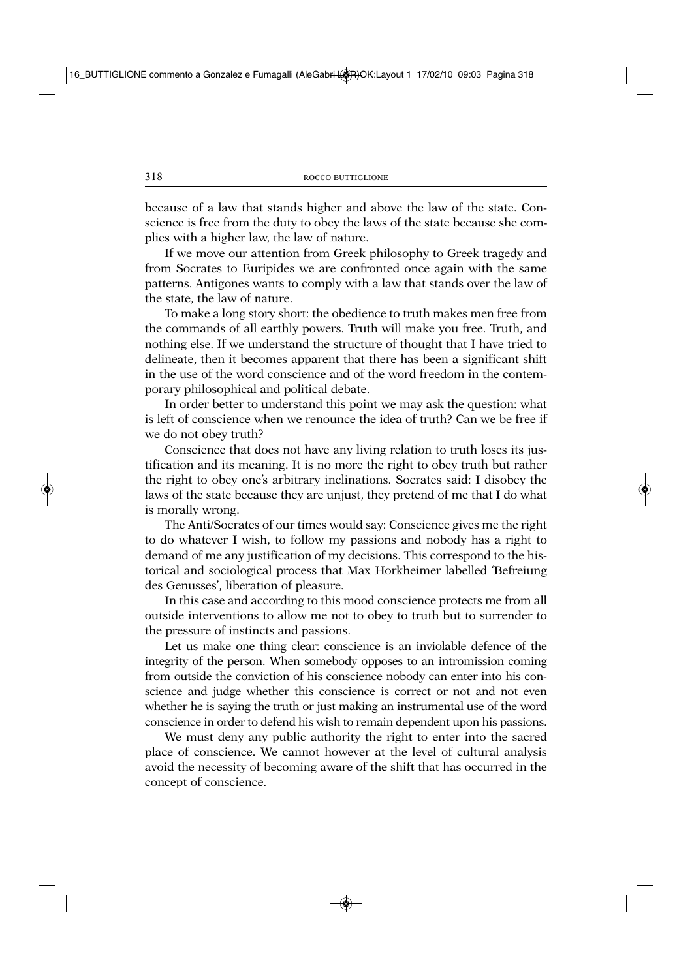because of a law that stands higher and above the law of the state. Conscience is free from the duty to obey the laws of the state because she complies with a higher law, the law of nature.

If we move our attention from Greek philosophy to Greek tragedy and from Socrates to Euripides we are confronted once again with the same patterns. Antigones wants to comply with a law that stands over the law of the state, the law of nature.

To make a long story short: the obedience to truth makes men free from the commands of all earthly powers. Truth will make you free. Truth, and nothing else. If we understand the structure of thought that I have tried to delineate, then it becomes apparent that there has been a significant shift in the use of the word conscience and of the word freedom in the contemporary philosophical and political debate.

In order better to understand this point we may ask the question: what is left of conscience when we renounce the idea of truth? Can we be free if we do not obey truth?

Conscience that does not have any living relation to truth loses its justification and its meaning. It is no more the right to obey truth but rather the right to obey one's arbitrary inclinations. Socrates said: I disobey the laws of the state because they are unjust, they pretend of me that I do what is morally wrong.

The Anti/Socrates of our times would say: Conscience gives me the right to do whatever I wish, to follow my passions and nobody has a right to demand of me any justification of my decisions. This correspond to the historical and sociological process that Max Horkheimer labelled 'Befreiung des Genusses', liberation of pleasure.

In this case and according to this mood conscience protects me from all outside interventions to allow me not to obey to truth but to surrender to the pressure of instincts and passions.

Let us make one thing clear: conscience is an inviolable defence of the integrity of the person. When somebody opposes to an intromission coming from outside the conviction of his conscience nobody can enter into his conscience and judge whether this conscience is correct or not and not even whether he is saying the truth or just making an instrumental use of the word conscience in order to defend his wish to remain dependent upon his passions.

We must deny any public authority the right to enter into the sacred place of conscience. We cannot however at the level of cultural analysis avoid the necessity of becoming aware of the shift that has occurred in the concept of conscience.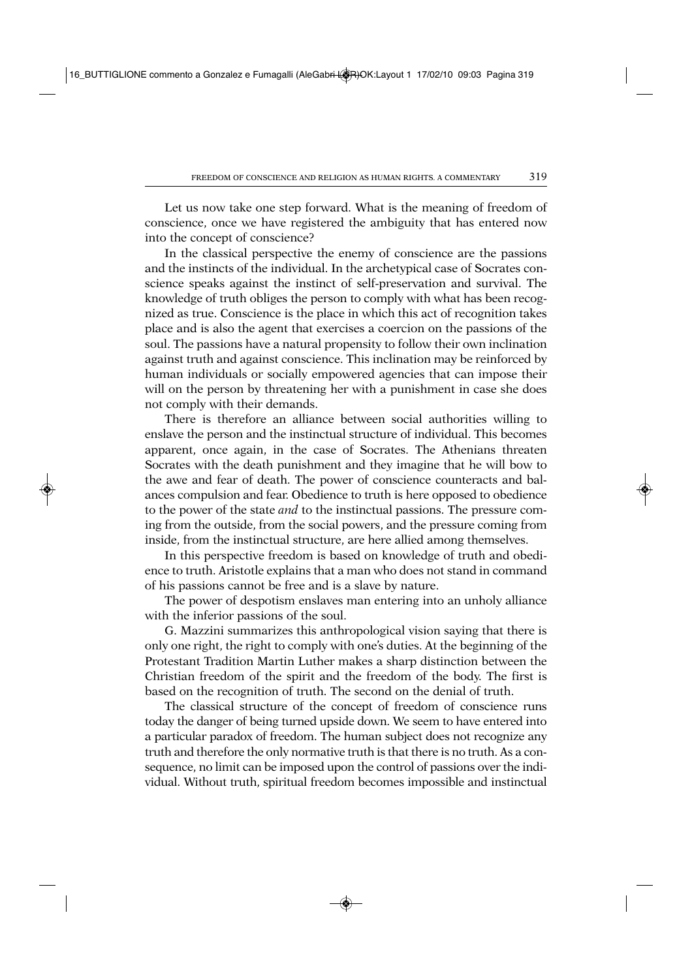Let us now take one step forward. What is the meaning of freedom of conscience, once we have registered the ambiguity that has entered now into the concept of conscience?

In the classical perspective the enemy of conscience are the passions and the instincts of the individual. In the archetypical case of Socrates conscience speaks against the instinct of self-preservation and survival. The knowledge of truth obliges the person to comply with what has been recognized as true. Conscience is the place in which this act of recognition takes place and is also the agent that exercises a coercion on the passions of the soul. The passions have a natural propensity to follow their own inclination against truth and against conscience. This inclination may be reinforced by human individuals or socially empowered agencies that can impose their will on the person by threatening her with a punishment in case she does not comply with their demands.

There is therefore an alliance between social authorities willing to enslave the person and the instinctual structure of individual. This becomes apparent, once again, in the case of Socrates. The Athenians threaten Socrates with the death punishment and they imagine that he will bow to the awe and fear of death. The power of conscience counteracts and balances compulsion and fear. Obedience to truth is here opposed to obedience to the power of the state *and* to the instinctual passions. The pressure coming from the outside, from the social powers, and the pressure coming from inside, from the instinctual structure, are here allied among themselves.

In this perspective freedom is based on knowledge of truth and obedience to truth. Aristotle explains that a man who does not stand in command of his passions cannot be free and is a slave by nature.

The power of despotism enslaves man entering into an unholy alliance with the inferior passions of the soul.

G. Mazzini summarizes this anthropological vision saying that there is only one right, the right to comply with one's duties. At the beginning of the Protestant Tradition Martin Luther makes a sharp distinction between the Christian freedom of the spirit and the freedom of the body. The first is based on the recognition of truth. The second on the denial of truth.

The classical structure of the concept of freedom of conscience runs today the danger of being turned upside down. We seem to have entered into a particular paradox of freedom. The human subject does not recognize any truth and therefore the only normative truth is that there is no truth. As a consequence, no limit can be imposed upon the control of passions over the individual. Without truth, spiritual freedom becomes impossible and instinctual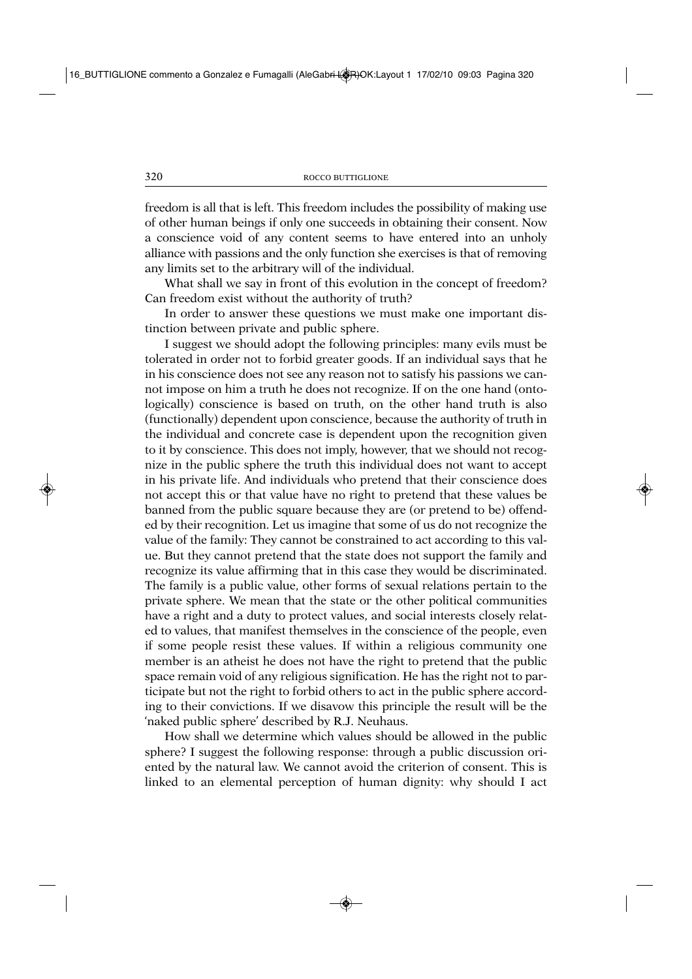freedom is all that is left. This freedom includes the possibility of making use of other human beings if only one succeeds in obtaining their consent. Now a conscience void of any content seems to have entered into an unholy alliance with passions and the only function she exercises is that of removing any limits set to the arbitrary will of the individual.

What shall we say in front of this evolution in the concept of freedom? Can freedom exist without the authority of truth?

In order to answer these questions we must make one important distinction between private and public sphere.

I suggest we should adopt the following principles: many evils must be tolerated in order not to forbid greater goods. If an individual says that he in his conscience does not see any reason not to satisfy his passions we cannot impose on him a truth he does not recognize. If on the one hand (ontologically) conscience is based on truth, on the other hand truth is also (functionally) dependent upon conscience, because the authority of truth in the individual and concrete case is dependent upon the recognition given to it by conscience. This does not imply, however, that we should not recognize in the public sphere the truth this individual does not want to accept in his private life. And individuals who pretend that their conscience does not accept this or that value have no right to pretend that these values be banned from the public square because they are (or pretend to be) offended by their recognition. Let us imagine that some of us do not recognize the value of the family: They cannot be constrained to act according to this value. But they cannot pretend that the state does not support the family and recognize its value affirming that in this case they would be discriminated. The family is a public value, other forms of sexual relations pertain to the private sphere. We mean that the state or the other political communities have a right and a duty to protect values, and social interests closely related to values, that manifest themselves in the conscience of the people, even if some people resist these values. If within a religious community one member is an atheist he does not have the right to pretend that the public space remain void of any religious signification. He has the right not to participate but not the right to forbid others to act in the public sphere according to their convictions. If we disavow this principle the result will be the 'naked public sphere' described by R.J. Neuhaus.

How shall we determine which values should be allowed in the public sphere? I suggest the following response: through a public discussion oriented by the natural law. We cannot avoid the criterion of consent. This is linked to an elemental perception of human dignity: why should I act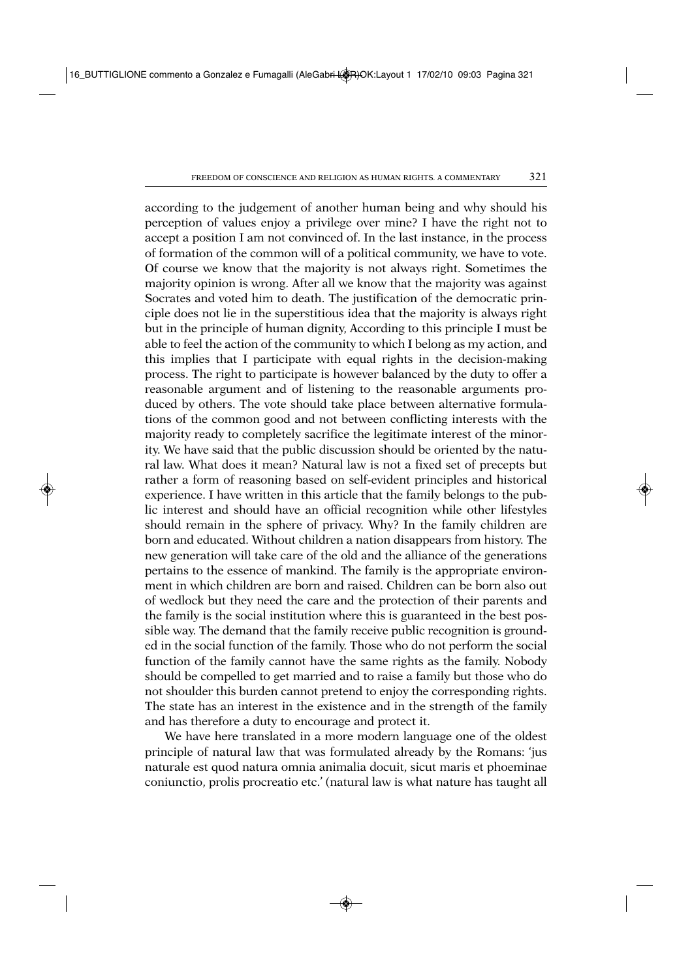according to the judgement of another human being and why should his perception of values enjoy a privilege over mine? I have the right not to accept a position I am not convinced of. In the last instance, in the process of formation of the common will of a political community, we have to vote. Of course we know that the majority is not always right. Sometimes the majority opinion is wrong. After all we know that the majority was against Socrates and voted him to death. The justification of the democratic principle does not lie in the superstitious idea that the majority is always right but in the principle of human dignity, According to this principle I must be able to feel the action of the community to which I belong as my action, and this implies that I participate with equal rights in the decision-making process. The right to participate is however balanced by the duty to offer a reasonable argument and of listening to the reasonable arguments produced by others. The vote should take place between alternative formulations of the common good and not between conflicting interests with the majority ready to completely sacrifice the legitimate interest of the minority. We have said that the public discussion should be oriented by the natural law. What does it mean? Natural law is not a fixed set of precepts but rather a form of reasoning based on self-evident principles and historical experience. I have written in this article that the family belongs to the public interest and should have an official recognition while other lifestyles should remain in the sphere of privacy. Why? In the family children are born and educated. Without children a nation disappears from history. The new generation will take care of the old and the alliance of the generations pertains to the essence of mankind. The family is the appropriate environment in which children are born and raised. Children can be born also out of wedlock but they need the care and the protection of their parents and the family is the social institution where this is guaranteed in the best possible way. The demand that the family receive public recognition is grounded in the social function of the family. Those who do not perform the social function of the family cannot have the same rights as the family. Nobody should be compelled to get married and to raise a family but those who do not shoulder this burden cannot pretend to enjoy the corresponding rights. The state has an interest in the existence and in the strength of the family and has therefore a duty to encourage and protect it.

We have here translated in a more modern language one of the oldest principle of natural law that was formulated already by the Romans: 'jus naturale est quod natura omnia animalia docuit, sicut maris et phoeminae coniunctio, prolis procreatio etc.' (natural law is what nature has taught all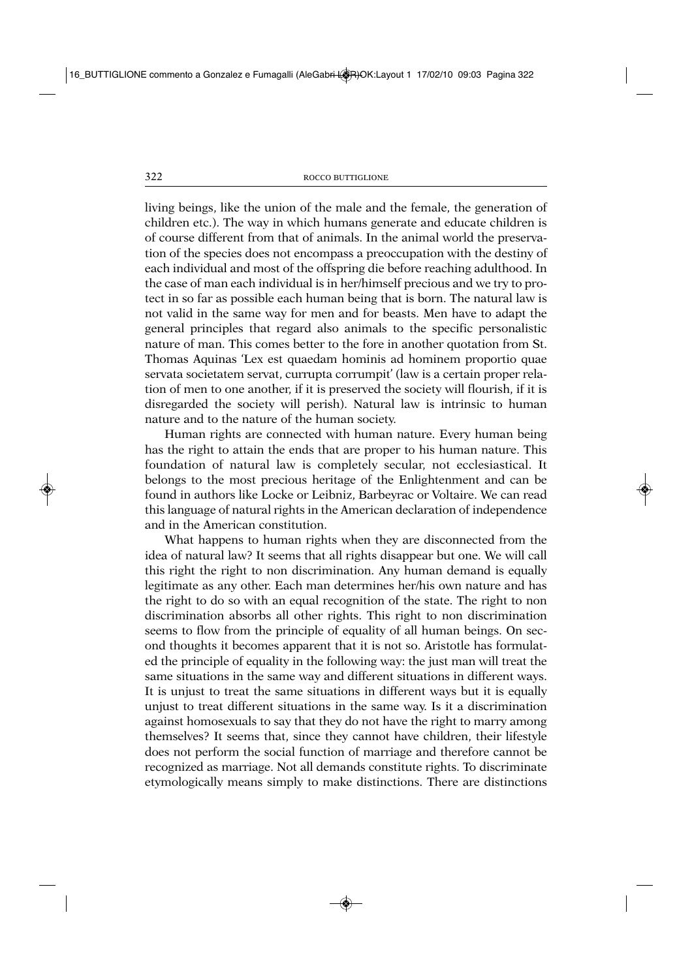living beings, like the union of the male and the female, the generation of children etc.). The way in which humans generate and educate children is of course different from that of animals. In the animal world the preservation of the species does not encompass a preoccupation with the destiny of each individual and most of the offspring die before reaching adulthood. In the case of man each individual is in her/himself precious and we try to protect in so far as possible each human being that is born. The natural law is not valid in the same way for men and for beasts. Men have to adapt the general principles that regard also animals to the specific personalistic nature of man. This comes better to the fore in another quotation from St. Thomas Aquinas 'Lex est quaedam hominis ad hominem proportio quae servata societatem servat, currupta corrumpit' (law is a certain proper relation of men to one another, if it is preserved the society will flourish, if it is disregarded the society will perish). Natural law is intrinsic to human nature and to the nature of the human society.

Human rights are connected with human nature. Every human being has the right to attain the ends that are proper to his human nature. This foundation of natural law is completely secular, not ecclesiastical. It belongs to the most precious heritage of the Enlightenment and can be found in authors like Locke or Leibniz, Barbeyrac or Voltaire. We can read this language of natural rights in the American declaration of independence and in the American constitution.

What happens to human rights when they are disconnected from the idea of natural law? It seems that all rights disappear but one. We will call this right the right to non discrimination. Any human demand is equally legitimate as any other. Each man determines her/his own nature and has the right to do so with an equal recognition of the state. The right to non discrimination absorbs all other rights. This right to non discrimination seems to flow from the principle of equality of all human beings. On second thoughts it becomes apparent that it is not so. Aristotle has formulated the principle of equality in the following way: the just man will treat the same situations in the same way and different situations in different ways. It is unjust to treat the same situations in different ways but it is equally unjust to treat different situations in the same way. Is it a discrimination against homosexuals to say that they do not have the right to marry among themselves? It seems that, since they cannot have children, their lifestyle does not perform the social function of marriage and therefore cannot be recognized as marriage. Not all demands constitute rights. To discriminate etymologically means simply to make distinctions. There are distinctions